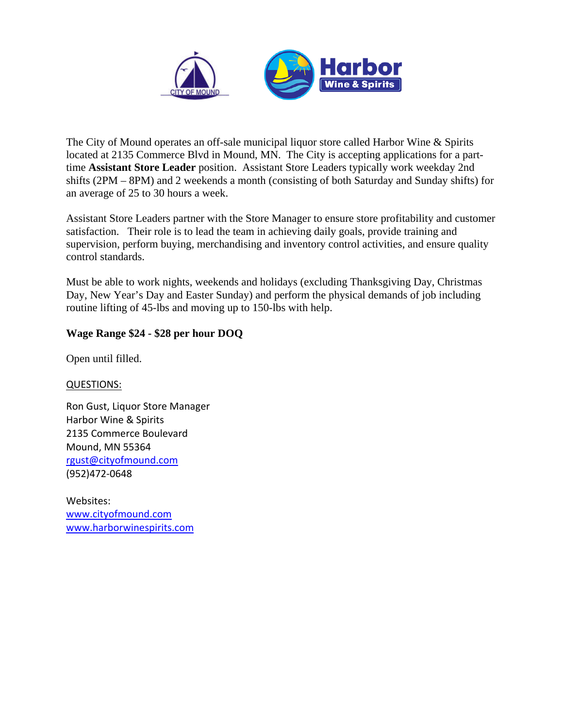

The City of Mound operates an off-sale municipal liquor store called Harbor Wine & Spirits located at 2135 Commerce Blvd in Mound, MN. The City is accepting applications for a parttime **Assistant Store Leader** position. Assistant Store Leaders typically work weekday 2nd shifts (2PM – 8PM) and 2 weekends a month (consisting of both Saturday and Sunday shifts) for an average of 25 to 30 hours a week.

Assistant Store Leaders partner with the Store Manager to ensure store profitability and customer satisfaction. Their role is to lead the team in achieving daily goals, provide training and supervision, perform buying, merchandising and inventory control activities, and ensure quality control standards.

Must be able to work nights, weekends and holidays (excluding Thanksgiving Day, Christmas Day, New Year's Day and Easter Sunday) and perform the physical demands of job including routine lifting of 45-lbs and moving up to 150-lbs with help.

### **Wage Range \$24 - \$28 per hour DOQ**

Open until filled.

QUESTIONS:

Ron Gust, Liquor Store Manager Harbor Wine & Spirits 2135 Commerce Boulevard Mound, MN 55364 [rgust@cityofmound.com](mailto:rgust@cityofmound.com) (952)472-0648

Websites: [www.cityofmound.com](http://www.cityofmound.com/) [www.harborwinespirits.com](http://www.harborwinespirits.com/)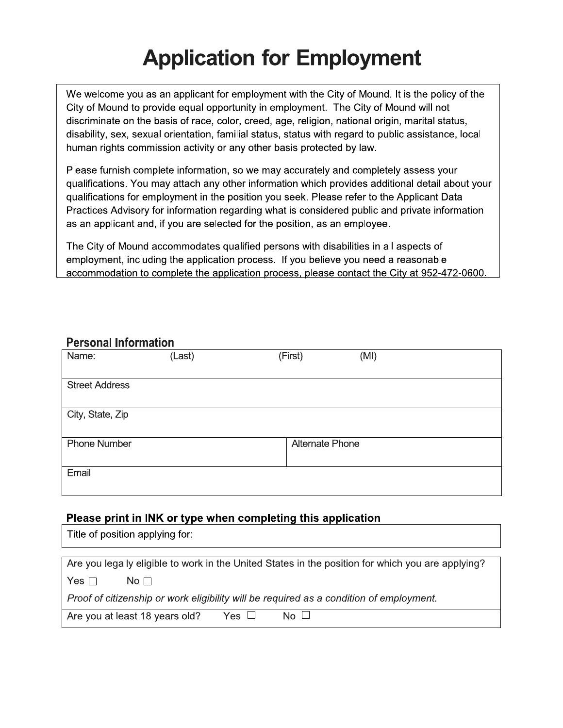## **Application for Employment**

We welcome you as an applicant for employment with the City of Mound. It is the policy of the City of Mound to provide equal opportunity in employment. The City of Mound will not discriminate on the basis of race, color, creed, age, religion, national origin, marital status, disability, sex, sexual orientation, familial status, status with regard to public assistance, local human rights commission activity or any other basis protected by law.

Please furnish complete information, so we may accurately and completely assess your qualifications. You may attach any other information which provides additional detail about your qualifications for employment in the position you seek. Please refer to the Applicant Data Practices Advisory for information regarding what is considered public and private information as an applicant and, if you are selected for the position, as an employee.

The City of Mound accommodates qualified persons with disabilities in all aspects of employment, including the application process. If you believe you need a reasonable accommodation to complete the application process, please contact the City at 952-472-0600.

### **Personal Information**

| Name:                 | (Last) | (First)                | (MI) |
|-----------------------|--------|------------------------|------|
| <b>Street Address</b> |        |                        |      |
|                       |        |                        |      |
| City, State, Zip      |        |                        |      |
| <b>Phone Number</b>   |        | <b>Alternate Phone</b> |      |
| Email                 |        |                        |      |

### Please print in INK or type when completing this application

Title of position applying for:

| Are you legally eligible to work in the United States in the position for which you are applying? |  |  |  |  |
|---------------------------------------------------------------------------------------------------|--|--|--|--|
| Yes $\Box$<br>$N$ o $\Box$                                                                        |  |  |  |  |
| Proof of citizenship or work eligibility will be required as a condition of employment.           |  |  |  |  |
| Yes $\Box$<br>$No \Box$<br>Are you at least 18 years old?                                         |  |  |  |  |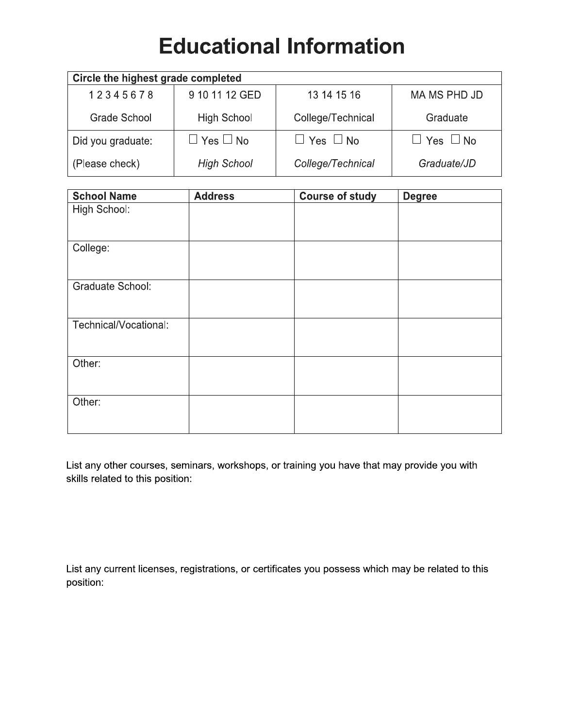## **Educational Information**

| Circle the highest grade completed |                      |                      |                      |  |  |
|------------------------------------|----------------------|----------------------|----------------------|--|--|
| 12345678                           | 9 10 11 12 GED       | 13 14 15 16          | MA MS PHD JD         |  |  |
| Grade School                       | <b>High School</b>   | College/Technical    | Graduate             |  |  |
| Did you graduate:                  | $\Box$ Yes $\Box$ No | $\Box$ Yes $\Box$ No | $\Box$ Yes $\Box$ No |  |  |
| (Please check)                     | <b>High School</b>   | College/Technical    | Graduate/JD          |  |  |

| <b>School Name</b>      | <b>Address</b> | <b>Course of study</b> | <b>Degree</b> |
|-------------------------|----------------|------------------------|---------------|
| High School:            |                |                        |               |
| College:                |                |                        |               |
| <b>Graduate School:</b> |                |                        |               |
| Technical/Vocational:   |                |                        |               |
| Other:                  |                |                        |               |
| Other:                  |                |                        |               |

List any other courses, seminars, workshops, or training you have that may provide you with skills related to this position:

List any current licenses, registrations, or certificates you possess which may be related to this position: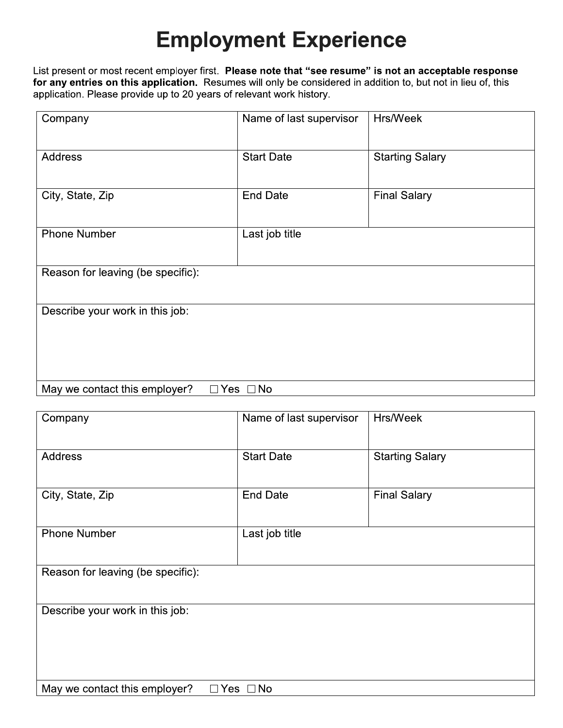## **Employment Experience**

List present or most recent employer first. Please note that "see resume" is not an acceptable response for any entries on this application. Resumes will only be considered in addition to, but not in lieu of, this application. Please provide up to 20 years of relevant work history.

| Company                           | Name of last supervisor | Hrs/Week               |  |  |
|-----------------------------------|-------------------------|------------------------|--|--|
| <b>Address</b>                    | <b>Start Date</b>       | <b>Starting Salary</b> |  |  |
|                                   |                         |                        |  |  |
| City, State, Zip                  | <b>End Date</b>         | <b>Final Salary</b>    |  |  |
| <b>Phone Number</b>               | Last job title          |                        |  |  |
|                                   |                         |                        |  |  |
| Reason for leaving (be specific): |                         |                        |  |  |
| Describe your work in this job:   |                         |                        |  |  |
|                                   |                         |                        |  |  |
|                                   |                         |                        |  |  |
| May we contact this employer?     | $\Box$ Yes $\Box$ No    |                        |  |  |

| Company                           | Name of last supervisor | Hrs/Week               |  |  |
|-----------------------------------|-------------------------|------------------------|--|--|
| <b>Address</b>                    | <b>Start Date</b>       | <b>Starting Salary</b> |  |  |
| City, State, Zip                  | <b>End Date</b>         | <b>Final Salary</b>    |  |  |
| <b>Phone Number</b>               | Last job title          |                        |  |  |
| Reason for leaving (be specific): |                         |                        |  |  |
| Describe your work in this job:   |                         |                        |  |  |
|                                   |                         |                        |  |  |
| May we contact this employer?     | $\Box$ Yes $\Box$ No    |                        |  |  |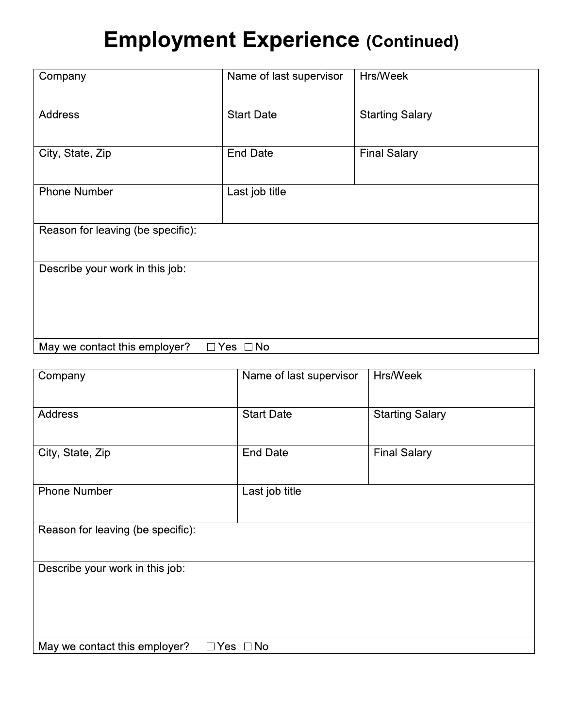## **Employment Experience (Continued)**

| Company                           | Name of last supervisor | Hrs/Week               |  |  |
|-----------------------------------|-------------------------|------------------------|--|--|
|                                   |                         |                        |  |  |
| <b>Address</b>                    | <b>Start Date</b>       | <b>Starting Salary</b> |  |  |
|                                   |                         |                        |  |  |
| City, State, Zip                  | <b>End Date</b>         | <b>Final Salary</b>    |  |  |
|                                   |                         |                        |  |  |
| <b>Phone Number</b>               | Last job title          |                        |  |  |
|                                   |                         |                        |  |  |
| Reason for leaving (be specific): |                         |                        |  |  |
|                                   |                         |                        |  |  |
| Describe your work in this job:   |                         |                        |  |  |
|                                   |                         |                        |  |  |
|                                   |                         |                        |  |  |
|                                   |                         |                        |  |  |
| May we contact this employer?     | $\Box$ Yes $\Box$ No    |                        |  |  |

| Company                           | Name of last supervisor<br>Hrs/Week |                        |  |  |
|-----------------------------------|-------------------------------------|------------------------|--|--|
|                                   |                                     |                        |  |  |
| <b>Address</b>                    | <b>Start Date</b>                   | <b>Starting Salary</b> |  |  |
|                                   |                                     |                        |  |  |
| City, State, Zip                  | <b>End Date</b>                     | <b>Final Salary</b>    |  |  |
|                                   |                                     |                        |  |  |
| <b>Phone Number</b>               | Last job title                      |                        |  |  |
|                                   |                                     |                        |  |  |
| Reason for leaving (be specific): |                                     |                        |  |  |
|                                   |                                     |                        |  |  |
|                                   |                                     |                        |  |  |
| Describe your work in this job:   |                                     |                        |  |  |
|                                   |                                     |                        |  |  |
|                                   |                                     |                        |  |  |
|                                   |                                     |                        |  |  |
|                                   |                                     |                        |  |  |
| May we contact this employer?     | $\Box$ Yes $\Box$ No                |                        |  |  |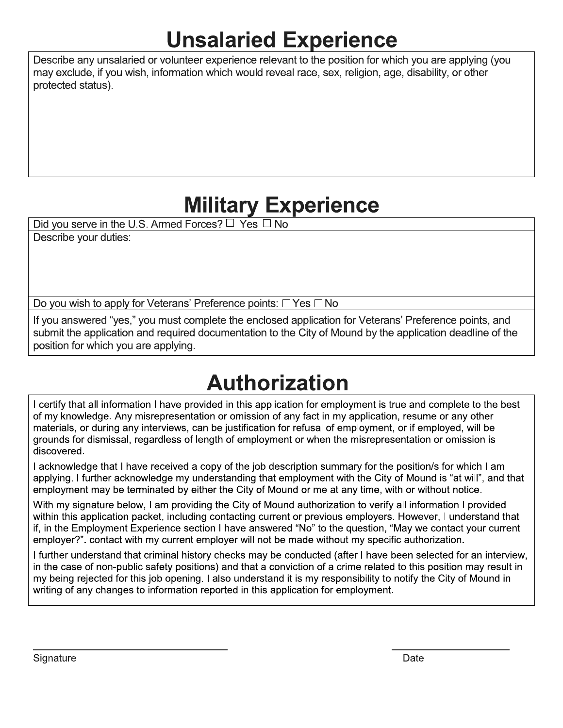## **Unsalaried Experience**

Describe any unsalaried or volunteer experience relevant to the position for which you are applying (you may exclude, if you wish, information which would reveal race, sex, religion, age, disability, or other protected status).

## **Military Experience**

Did you serve in the U.S. Armed Forces? □ Yes □ No

Describe your duties:

Do you wish to apply for Veterans' Preference points:  $\Box$  Yes  $\Box$  No

If you answered "yes," you must complete the enclosed application for Veterans' Preference points, and submit the application and required documentation to the City of Mound by the application deadline of the position for which you are applying.

# **Authorization**

I certify that all information I have provided in this application for employment is true and complete to the best of my knowledge. Any misrepresentation or omission of any fact in my application, resume or any other materials, or during any interviews, can be justification for refusal of employment, or if employed, will be grounds for dismissal, regardless of length of employment or when the misrepresentation or omission is discovered.

I acknowledge that I have received a copy of the job description summary for the position/s for which I am applying. I further acknowledge my understanding that employment with the City of Mound is "at will", and that employment may be terminated by either the City of Mound or me at any time, with or without notice.

With my signature below, I am providing the City of Mound authorization to verify all information I provided within this application packet, including contacting current or previous employers. However, I understand that if, in the Employment Experience section I have answered "No" to the question, "May we contact your current employer?". contact with my current employer will not be made without my specific authorization.

I further understand that criminal history checks may be conducted (after I have been selected for an interview, in the case of non-public safety positions) and that a conviction of a crime related to this position may result in my being rejected for this job opening. I also understand it is my responsibility to notify the City of Mound in writing of any changes to information reported in this application for employment.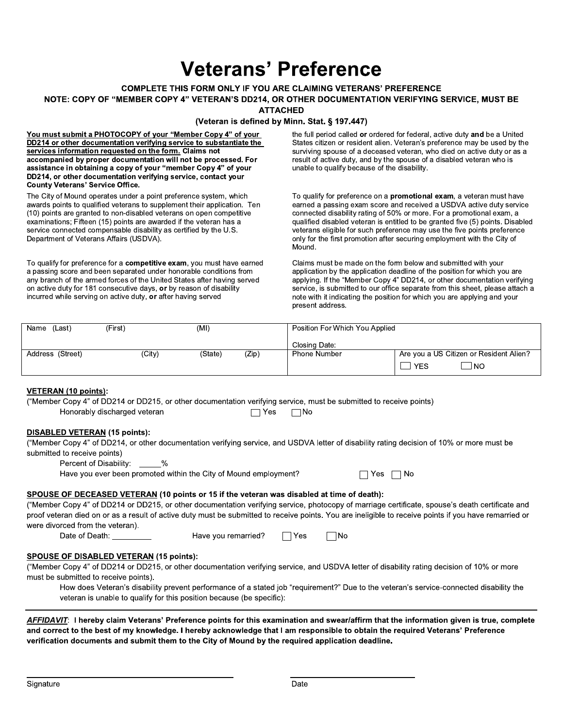## **Veterans' Preference**

### **COMPLETE THIS FORM ONLY IF YOU ARE CLAIMING VETERANS' PREFERENCE**

### NOTE: COPY OF "MEMBER COPY 4" VETERAN'S DD214, OR OTHER DOCUMENTATION VERIFYING SERVICE, MUST BE

**ATTACHED** 

#### (Veteran is defined by Minn. Stat. § 197.447)

You must submit a PHOTOCOPY of your "Member Copy 4" of your DD214 or other documentation verifying service to substantiate the services information requested on the form. Claims not accompanied by proper documentation will not be processed. For assistance in obtaining a copy of your "member Copy 4" of your DD214, or other documentation verifying service, contact your **County Veterans' Service Office.** 

The City of Mound operates under a point preference system, which awards points to qualified veterans to supplement their application. Ten (10) points are granted to non-disabled veterans on open competitive examinations; Fifteen (15) points are awarded if the veteran has a service connected compensable disability as certified by the U.S. Department of Veterans Affairs (USDVA).

To qualify for preference for a competitive exam, you must have earned a passing score and been separated under honorable conditions from any branch of the armed forces of the United States after having served on active duty for 181 consecutive days, or by reason of disability incurred while serving on active duty, or after having served

the full period called or ordered for federal, active duty and be a United States citizen or resident alien. Veteran's preference may be used by the surviving spouse of a deceased veteran, who died on active duty or as a result of active duty, and by the spouse of a disabled veteran who is unable to qualify because of the disability.

To qualify for preference on a promotional exam, a veteran must have earned a passing exam score and received a USDVA active duty service connected disability rating of 50% or more. For a promotional exam, a qualified disabled veteran is entitled to be granted five (5) points. Disabled veterans eligible for such preference may use the five points preference only for the first promotion after securing employment with the City of Mound.

Claims must be made on the form below and submitted with your application by the application deadline of the position for which you are applying. If the "Member Copy 4" DD214, or other documentation verifying service, is submitted to our office separate from this sheet, please attach a note with it indicating the position for which you are applying and your present address.

| (Last،<br>Name   | (First) | (MI)    |       | Position For Which You Applied |                                         |
|------------------|---------|---------|-------|--------------------------------|-----------------------------------------|
|                  |         |         |       | Closing Date:                  |                                         |
| Address (Street) | (City)  | (State) | (Zip) | <b>Phone Number</b>            | Are you a US Citizen or Resident Alien? |
|                  |         |         |       |                                | l NO<br><b>YES</b>                      |

### VETERAN (10 points):

("Member Copy 4" of DD214 or DD215, or other documentation verifying service, must be submitted to receive points) Honorably discharged veteran  $\Box$  Yes  $\Box$ No

Have you remarried?

### **DISABLED VETERAN (15 points):**

("Member Copy 4" of DD214, or other documentation verifying service, and USDVA letter of disability rating decision of 10% or more must be submitted to receive points)

Percent of Disability:  $\frac{0}{0}$ 

Have you ever been promoted within the City of Mound employment?

|   | N٥ |
|---|----|
| ⊷ |    |

### SPOUSE OF DECEASED VETERAN (10 points or 15 if the veteran was disabled at time of death):

("Member Copy 4" of DD214 or DD215, or other documentation verifying service, photocopy of marriage certificate, spouse's death certificate and proof veteran died on or as a result of active duty must be submitted to receive points. You are ineligible to receive points if you have remarried or were divorced from the veteran).

Date of Death:

 $\Box$  Yes  $\Box$ No

### **SPOUSE OF DISABLED VETERAN (15 points):**

("Member Copy 4" of DD214 or DD215, or other documentation verifying service, and USDVA letter of disability rating decision of 10% or more must be submitted to receive points).

How does Veteran's disability prevent performance of a stated job "requirement?" Due to the veteran's service-connected disability the veteran is unable to qualify for this position because (be specific):

AFFIDAVIT: I hereby claim Veterans' Preference points for this examination and swear/affirm that the information given is true, complete and correct to the best of my knowledge. I hereby acknowledge that I am responsible to obtain the required Veterans' Preference verification documents and submit them to the City of Mound by the required application deadline.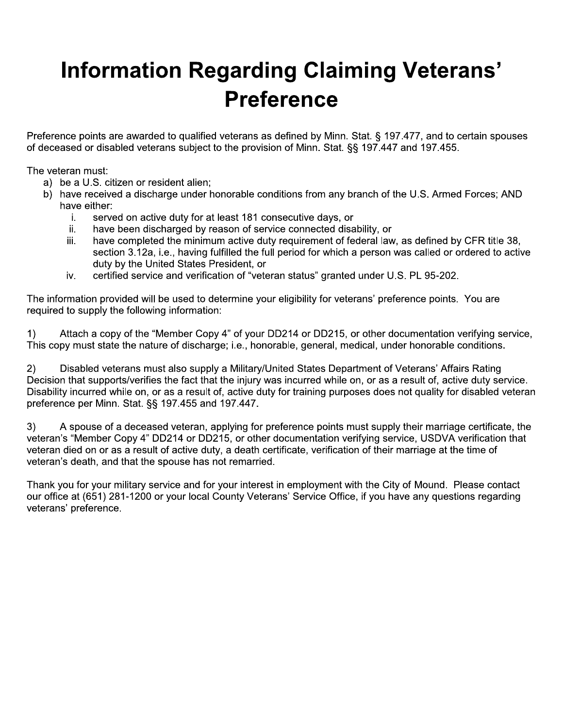## **Information Regarding Claiming Veterans' Preference**

Preference points are awarded to qualified veterans as defined by Minn. Stat. § 197.477, and to certain spouses of deceased or disabled veterans subject to the provision of Minn. Stat. §§ 197.447 and 197.455.

The veteran must:

- a) be a U.S. citizen or resident alien;
- b) have received a discharge under honorable conditions from any branch of the U.S. Armed Forces; AND have either:
	- i. served on active duty for at least 181 consecutive days, or
	- ii. have been discharged by reason of service connected disability, or
	- have completed the minimum active duty requirement of federal law, as defined by CFR title 38, iii. section 3.12a, i.e., having fulfilled the full period for which a person was called or ordered to active duty by the United States President, or
	- certified service and verification of "veteran status" granted under U.S. PL 95-202. iv.

The information provided will be used to determine your eligibility for veterans' preference points. You are required to supply the following information:

Attach a copy of the "Member Copy 4" of your DD214 or DD215, or other documentation verifying service,  $1)$ This copy must state the nature of discharge; i.e., honorable, general, medical, under honorable conditions.

 $2)$ Disabled veterans must also supply a Military/United States Department of Veterans' Affairs Rating Decision that supports/verifies the fact that the injury was incurred while on, or as a result of, active duty service. Disability incurred while on, or as a result of, active duty for training purposes does not quality for disabled veteran preference per Minn. Stat. §§ 197.455 and 197.447.

A spouse of a deceased veteran, applying for preference points must supply their marriage certificate, the  $3)$ veteran's "Member Copy 4" DD214 or DD215, or other documentation verifying service, USDVA verification that veteran died on or as a result of active duty, a death certificate, verification of their marriage at the time of veteran's death, and that the spouse has not remarried.

Thank you for your military service and for your interest in employment with the City of Mound. Please contact our office at (651) 281-1200 or your local County Veterans' Service Office, if you have any questions regarding veterans' preference.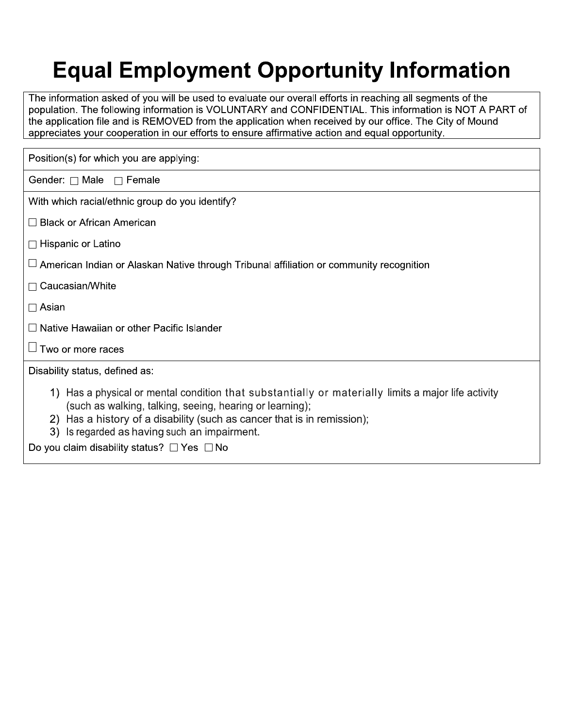# **Equal Employment Opportunity Information**

The information asked of you will be used to evaluate our overall efforts in reaching all segments of the population. The following information is VOLUNTARY and CONFIDENTIAL. This information is NOT A PART of the application file and is REMOVED from the application when received by our office. The City of Mound appreciates your cooperation in our efforts to ensure affirmative action and equal opportunity.

| Position(s) for which you are applying:                                                                                                                                                                                                                                                                                                            |  |  |  |
|----------------------------------------------------------------------------------------------------------------------------------------------------------------------------------------------------------------------------------------------------------------------------------------------------------------------------------------------------|--|--|--|
| Gender: $\Box$ Male $\Box$ Female                                                                                                                                                                                                                                                                                                                  |  |  |  |
| With which racial/ethnic group do you identify?                                                                                                                                                                                                                                                                                                    |  |  |  |
| $\Box$ Black or African American                                                                                                                                                                                                                                                                                                                   |  |  |  |
| $\Box$ Hispanic or Latino                                                                                                                                                                                                                                                                                                                          |  |  |  |
| $\Box$ American Indian or Alaskan Native through Tribunal affiliation or community recognition                                                                                                                                                                                                                                                     |  |  |  |
| $\Box$ Caucasian/White                                                                                                                                                                                                                                                                                                                             |  |  |  |
| $\Box$ Asian                                                                                                                                                                                                                                                                                                                                       |  |  |  |
| $\Box$ Native Hawaiian or other Pacific Islander                                                                                                                                                                                                                                                                                                   |  |  |  |
| $\Box$ Two or more races                                                                                                                                                                                                                                                                                                                           |  |  |  |
| Disability status, defined as:                                                                                                                                                                                                                                                                                                                     |  |  |  |
| 1) Has a physical or mental condition that substantially or materially limits a major life activity<br>(such as walking, talking, seeing, hearing or learning);<br>2) Has a history of a disability (such as cancer that is in remission);<br>3) Is regarded as having such an impairment.<br>Do you claim disability status? $\Box$ Yes $\Box$ No |  |  |  |
|                                                                                                                                                                                                                                                                                                                                                    |  |  |  |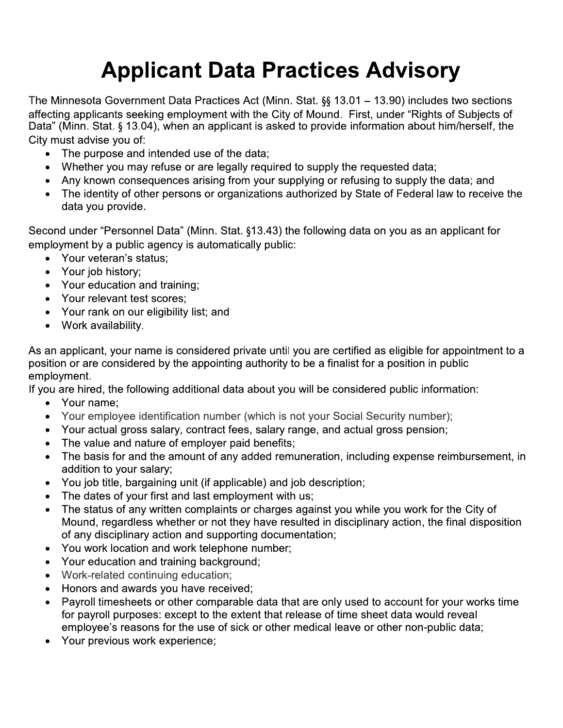# Applicant Data Practices Advisory<br>。

**Applicant Data Practices Advisory**<br>
The Minnesota Government Data Practices Act (Minn. Stat. §§ 13.01 – 13.90) includes two sections<br>
affecting applicants seeking employment with the City of Mound. First, under "Rights of affecting applicants seeking employment with the City of Mound. First, under "Rights of Subjects of<br>Data" (Minn. Stat. § 13.04), when an applicant is asked to provide information about him/herself. the **Applicant Data Practices Advisory**<br>The Minnesota Government Data Practices Act (Minn. Stat. §§ 13.01 – 13.90) includes two sections<br>affecting applicants seeking employment with the City of Mound. First, under "Rights of S City must advise you of:<br>■ The purpose and Ninnesota Government Data Practices Act (Minn. Stat. §§ 13.01 – 13.90) includes two sections<br>
ccting applicants seeking employment with the City of Mound. First, under "Rights of Subjects of<br>
a" (Minn. Stat. § 13.04), when

- The purpose and intended use of the data;
- Whether you may refuse or are legally required to supply the requested data;
- 
- Any known consequences arising from your supplying or refusing to supply the data; and<br>• The identity of other persons or organizations authorized by State of Federal law to receive the data you provide.

Second under "Personnel Data" (Minn. Stat. §13.43) the following data on you as an applicant for employment by a public agency is automatically public:

- Your veteran's status;
- Your job history;
- Your education and training:
- Your relevant test scores;
- Your rank on our eligibility list; and
- Work availability.

As an applicant, your name is considered private until you are certified as eligible for appointment to a position or are considered by the appointing authority to be a finalist for a position in public employment. • Your rank on our eligibility list; and<br>• Work availability.<br>• Work availability.<br>an applicant, your name is considered private until you are certified as eligible for appoint<br>ition or are considered by the appointing aut

If you are hired, the following additional data about you will be considered public information:

- 
- Your name;<br>• Your employee identification number (which is not your Social Security number);
- Your actual gross salary, contract fees, salary range, and actual gross pension;
- The value and nature of employer paid benefits;
- The basis for and the amount of any added remuneration, including expense reimbursement, in addition to your salary;
- You job title, bargaining unit (if applicable) and job description;
- The dates of your first and last employment with us;
- The status of any written complaints or charges against you while you work for the City of Mound, regardless whether or not they have resulted in disciplinary action, the final disposition of any disciplinary action and supporting documentation;
- You work location and work telephone number;<br>• Your education and training background:
- Your education and training background;
- Work-related continuing education;
- Honors and awards you have received;
- Payroll timesheets or other comparable data that are only used to account for your works time for payroll purposes: except to the extent that release of time sheet data would reveal employee's reasons for the use of sick or other medical leave or other non-public data;
- Your previous work experience: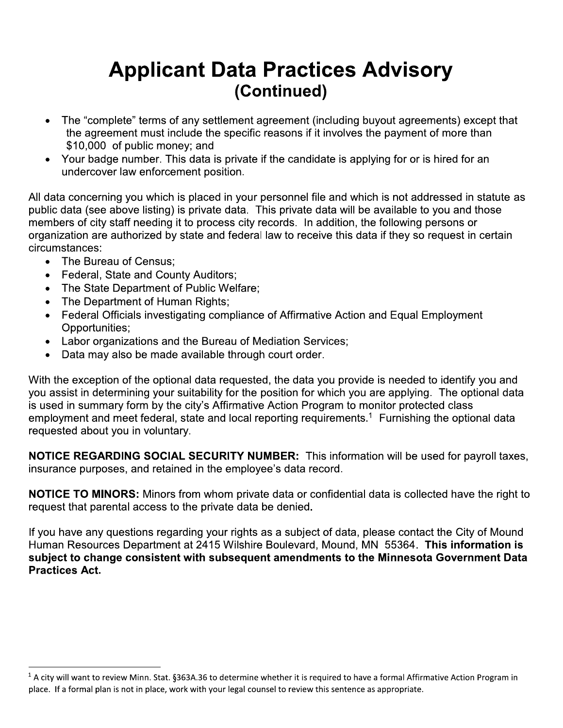## **Applicant Data Practices Advisory** (Continued)

- The "complete" terms of any settlement agreement (including buyout agreements) except that  $\bullet$ the agreement must include the specific reasons if it involves the payment of more than \$10,000 of public money; and
- Your badge number. This data is private if the candidate is applying for or is hired for an undercover law enforcement position.

All data concerning you which is placed in your personnel file and which is not addressed in statute as public data (see above listing) is private data. This private data will be available to you and those members of city staff needing it to process city records. In addition, the following persons or organization are authorized by state and federal law to receive this data if they so request in certain circumstances:

- The Bureau of Census;
- Federal, State and County Auditors;
- The State Department of Public Welfare;
- The Department of Human Rights;
- Federal Officials investigating compliance of Affirmative Action and Equal Employment Opportunities;
- Labor organizations and the Bureau of Mediation Services;
- Data may also be made available through court order.  $\bullet$

With the exception of the optional data requested, the data you provide is needed to identify you and you assist in determining your suitability for the position for which you are applying. The optional data is used in summary form by the city's Affirmative Action Program to monitor protected class employment and meet federal, state and local reporting requirements.<sup>1</sup> Furnishing the optional data requested about you in voluntary.

NOTICE REGARDING SOCIAL SECURITY NUMBER: This information will be used for payroll taxes, insurance purposes, and retained in the employee's data record.

**NOTICE TO MINORS:** Minors from whom private data or confidential data is collected have the right to request that parental access to the private data be denied.

If you have any questions regarding your rights as a subject of data, please contact the City of Mound Human Resources Department at 2415 Wilshire Boulevard, Mound, MN 55364. This information is subject to change consistent with subsequent amendments to the Minnesota Government Data **Practices Act.** 

 $1$  A city will want to review Minn. Stat. §363A.36 to determine whether it is required to have a formal Affirmative Action Program in place. If a formal plan is not in place, work with your legal counsel to review this sentence as appropriate.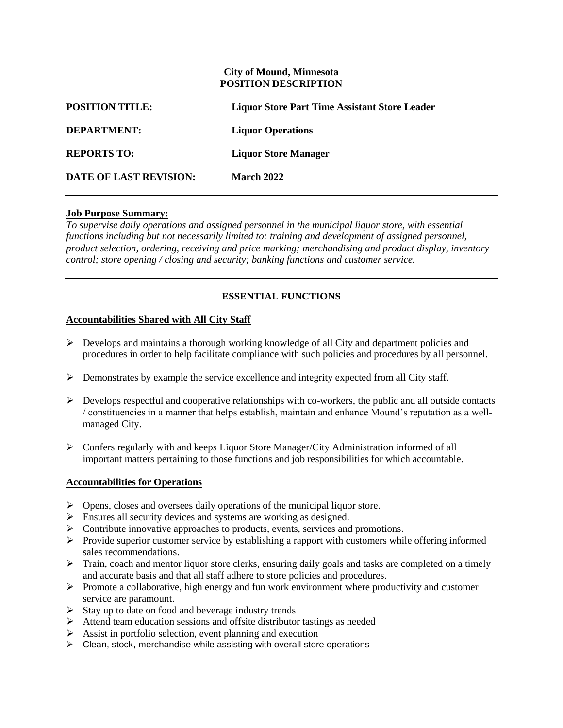### **City of Mound, Minnesota POSITION DESCRIPTION**

| <b>POSITION TITLE:</b>        | <b>Liquor Store Part Time Assistant Store Leader</b> |
|-------------------------------|------------------------------------------------------|
| <b>DEPARTMENT:</b>            | <b>Liquor Operations</b>                             |
| <b>REPORTS TO:</b>            | <b>Liquor Store Manager</b>                          |
| <b>DATE OF LAST REVISION:</b> | <b>March 2022</b>                                    |

### **Job Purpose Summary:**

*To supervise daily operations and assigned personnel in the municipal liquor store, with essential functions including but not necessarily limited to: training and development of assigned personnel, product selection, ordering, receiving and price marking; merchandising and product display, inventory control; store opening / closing and security; banking functions and customer service.*

### **ESSENTIAL FUNCTIONS**

### **Accountabilities Shared with All City Staff**

- $\triangleright$  Develops and maintains a thorough working knowledge of all City and department policies and procedures in order to help facilitate compliance with such policies and procedures by all personnel.
- $\triangleright$  Demonstrates by example the service excellence and integrity expected from all City staff.
- $\triangleright$  Develops respectful and cooperative relationships with co-workers, the public and all outside contacts / constituencies in a manner that helps establish, maintain and enhance Mound's reputation as a wellmanaged City.
- $\triangleright$  Confers regularly with and keeps Liquor Store Manager/City Administration informed of all important matters pertaining to those functions and job responsibilities for which accountable.

### **Accountabilities for Operations**

- $\triangleright$  Opens, closes and oversees daily operations of the municipal liquor store.
- Ensures all security devices and systems are working as designed.
- $\triangleright$  Contribute innovative approaches to products, events, services and promotions.
- $\triangleright$  Provide superior customer service by establishing a rapport with customers while offering informed sales recommendations.
- $\triangleright$  Train, coach and mentor liquor store clerks, ensuring daily goals and tasks are completed on a timely and accurate basis and that all staff adhere to store policies and procedures.
- $\triangleright$  Promote a collaborative, high energy and fun work environment where productivity and customer service are paramount.
- $\triangleright$  Stay up to date on food and beverage industry trends
- Attend team education sessions and offsite distributor tastings as needed
- $\triangleright$  Assist in portfolio selection, event planning and execution
- $\triangleright$  Clean, stock, merchandise while assisting with overall store operations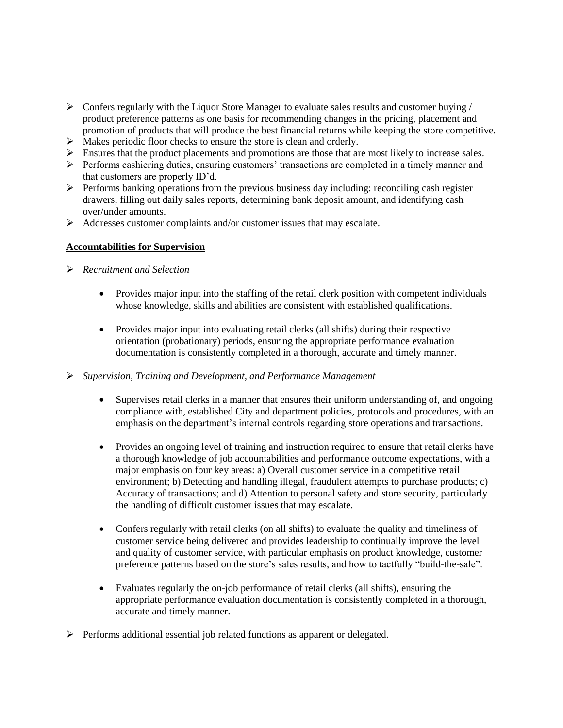- $\triangleright$  Confers regularly with the Liquor Store Manager to evaluate sales results and customer buying / product preference patterns as one basis for recommending changes in the pricing, placement and promotion of products that will produce the best financial returns while keeping the store competitive.
- $\triangleright$  Makes periodic floor checks to ensure the store is clean and orderly.
- $\triangleright$  Ensures that the product placements and promotions are those that are most likely to increase sales.
- $\triangleright$  Performs cashiering duties, ensuring customers' transactions are completed in a timely manner and that customers are properly ID'd.
- $\triangleright$  Performs banking operations from the previous business day including: reconciling cash register drawers, filling out daily sales reports, determining bank deposit amount, and identifying cash over/under amounts.
- Addresses customer complaints and/or customer issues that may escalate.

### **Accountabilities for Supervision**

- *Recruitment and Selection*
	- Provides major input into the staffing of the retail clerk position with competent individuals whose knowledge, skills and abilities are consistent with established qualifications.
	- Provides major input into evaluating retail clerks (all shifts) during their respective orientation (probationary) periods, ensuring the appropriate performance evaluation documentation is consistently completed in a thorough, accurate and timely manner.
- *Supervision, Training and Development, and Performance Management*
	- Supervises retail clerks in a manner that ensures their uniform understanding of, and ongoing compliance with, established City and department policies, protocols and procedures, with an emphasis on the department's internal controls regarding store operations and transactions.
	- Provides an ongoing level of training and instruction required to ensure that retail clerks have a thorough knowledge of job accountabilities and performance outcome expectations, with a major emphasis on four key areas: a) Overall customer service in a competitive retail environment; b) Detecting and handling illegal, fraudulent attempts to purchase products; c) Accuracy of transactions; and d) Attention to personal safety and store security, particularly the handling of difficult customer issues that may escalate.
	- Confers regularly with retail clerks (on all shifts) to evaluate the quality and timeliness of customer service being delivered and provides leadership to continually improve the level and quality of customer service, with particular emphasis on product knowledge, customer preference patterns based on the store's sales results, and how to tactfully "build-the-sale".
	- Evaluates regularly the on-job performance of retail clerks (all shifts), ensuring the appropriate performance evaluation documentation is consistently completed in a thorough, accurate and timely manner.
- $\triangleright$  Performs additional essential job related functions as apparent or delegated.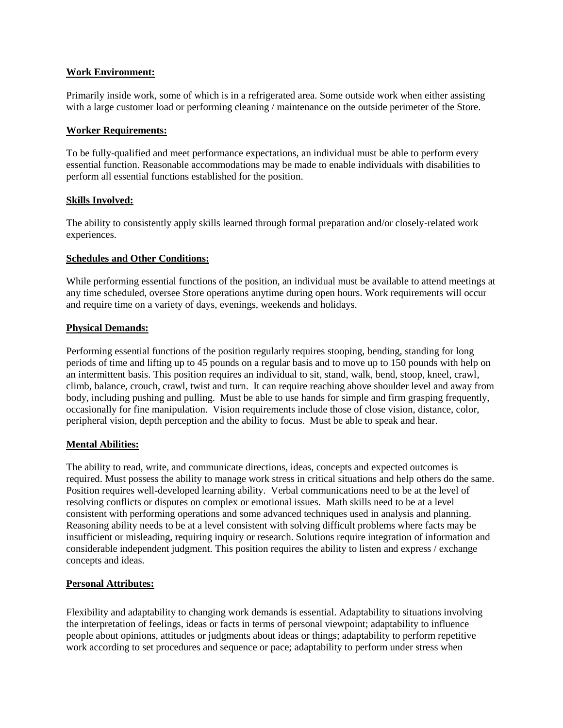### **Work Environment:**

Primarily inside work, some of which is in a refrigerated area. Some outside work when either assisting with a large customer load or performing cleaning / maintenance on the outside perimeter of the Store.

### **Worker Requirements:**

To be fully-qualified and meet performance expectations, an individual must be able to perform every essential function. Reasonable accommodations may be made to enable individuals with disabilities to perform all essential functions established for the position.

### **Skills Involved:**

The ability to consistently apply skills learned through formal preparation and/or closely-related work experiences.

### **Schedules and Other Conditions:**

While performing essential functions of the position, an individual must be available to attend meetings at any time scheduled, oversee Store operations anytime during open hours. Work requirements will occur and require time on a variety of days, evenings, weekends and holidays.

### **Physical Demands:**

Performing essential functions of the position regularly requires stooping, bending, standing for long periods of time and lifting up to 45 pounds on a regular basis and to move up to 150 pounds with help on an intermittent basis. This position requires an individual to sit, stand, walk, bend, stoop, kneel, crawl, climb, balance, crouch, crawl, twist and turn. It can require reaching above shoulder level and away from body, including pushing and pulling. Must be able to use hands for simple and firm grasping frequently, occasionally for fine manipulation. Vision requirements include those of close vision, distance, color, peripheral vision, depth perception and the ability to focus. Must be able to speak and hear.

### **Mental Abilities:**

The ability to read, write, and communicate directions, ideas, concepts and expected outcomes is required. Must possess the ability to manage work stress in critical situations and help others do the same. Position requires well-developed learning ability. Verbal communications need to be at the level of resolving conflicts or disputes on complex or emotional issues. Math skills need to be at a level consistent with performing operations and some advanced techniques used in analysis and planning. Reasoning ability needs to be at a level consistent with solving difficult problems where facts may be insufficient or misleading, requiring inquiry or research. Solutions require integration of information and considerable independent judgment. This position requires the ability to listen and express / exchange concepts and ideas.

### **Personal Attributes:**

Flexibility and adaptability to changing work demands is essential. Adaptability to situations involving the interpretation of feelings, ideas or facts in terms of personal viewpoint; adaptability to influence people about opinions, attitudes or judgments about ideas or things; adaptability to perform repetitive work according to set procedures and sequence or pace; adaptability to perform under stress when